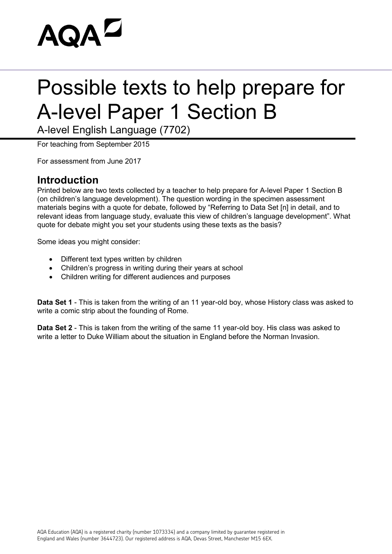# **AQAL**

### Possible texts to help prepare for A-level Paper 1 Section B

A-level English Language (7702)

For teaching from September 2015

For assessment from June 2017

#### **Introduction**

Printed below are two texts collected by a teacher to help prepare for A-level Paper 1 Section B (on children's language development). The question wording in the specimen assessment materials begins with a quote for debate, followed by "Referring to Data Set [n] in detail, and to relevant ideas from language study, evaluate this view of children's language development". What quote for debate might you set your students using these texts as the basis?

Some ideas you might consider:

- Different text types written by children
- Children's progress in writing during their years at school
- Children writing for different audiences and purposes

**Data Set 1** - This is taken from the writing of an 11 year-old boy, whose History class was asked to write a comic strip about the founding of Rome.

**Data Set 2** - This is taken from the writing of the same 11 year-old boy. His class was asked to write a letter to Duke William about the situation in England before the Norman Invasion.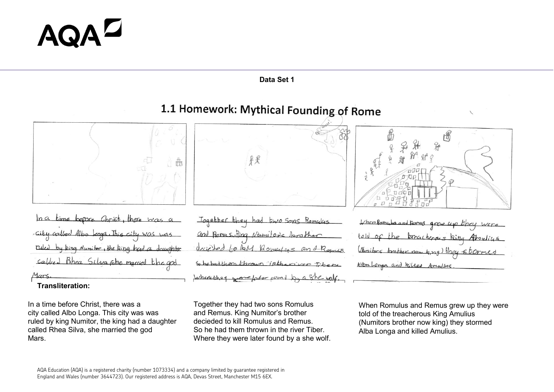# AQA

#### **Data Set 1**

### 1.1 Homework: Mythical Founding of Rome



 $ln a$ time before Christ, there was  $\cos\alpha$ ,  $1\sin\beta$ rued Ring Numitor, the Ring uchter Calified Bhea Silva she marie Mars.

**Transliteration:**

In a time before Christ, there was a city called Albo Longa. This city was was ruled by king Numitor, the king had a daughter called Rhea Silva, she married the god Mars.



Jogether they had Komulys and Bomas, Ring Nemitore for couns

Together they had two sons Romulus and Remus. King Numitor's brother decieded to kill Romulus and Remus. So he had them thrown in the river Tiber. Where they were later found by a she wolf.



| When Romylus and Rames grew up they were |  |  |  |
|------------------------------------------|--|--|--|
| told of the breacheres king Abouting     |  |  |  |
| (Munitors brother now king) they stormed |  |  |  |
| Albulonga and killed Amuline.            |  |  |  |

When Romulus and Remus grew up they were told of the treacherous King Amulius (Numitors brother now king) they stormed Alba Longa and killed Amulius.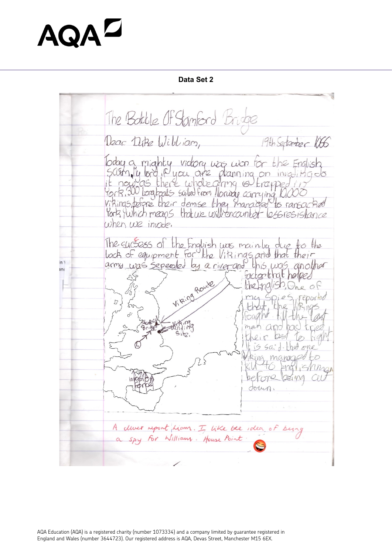# **AQA**

**Data Set 2**

The Battle Of Stanford Bridge Dear Dike William, 19th September 106 Today a mighty vidory was won for the English<br>Scism, by lord in you are planning on invasing do<br>it now as there whole grang is krapped in<br>York 300 longboats sailed from Norway carrying 10,000<br>Virkings, before their demise Ports furthich means that we will encounted less resistance when we invote. The sucsess of the English was mainly due to the<br>lock of equipment for the Vikings and that their  $n \lambda$ this was another too that helped Viking Route  $the$  indigh.  $Q_{\text{ne}}$  of eported Site A cliver report Liam. I like the idea of being